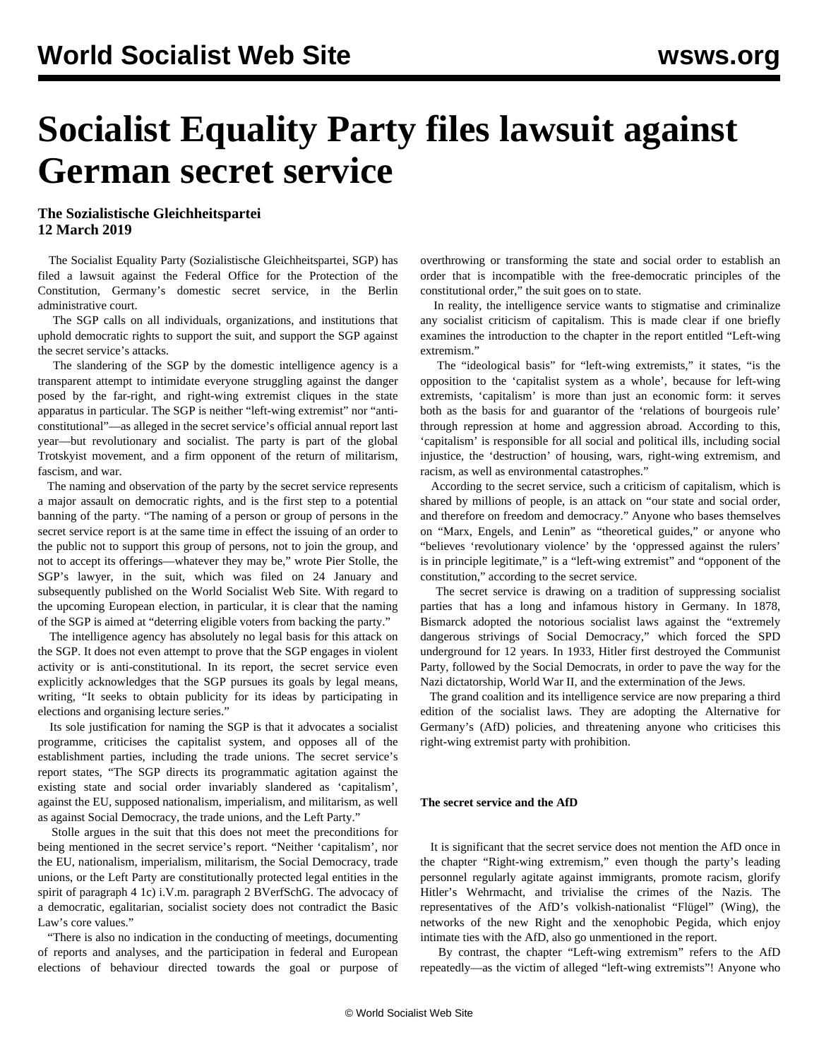## **Socialist Equality Party files lawsuit against German secret service**

## **The Sozialistische Gleichheitspartei 12 March 2019**

 The Socialist Equality Party (Sozialistische Gleichheitspartei, SGP) has filed a lawsuit against the Federal Office for the Protection of the Constitution, Germany's domestic secret service, in the Berlin administrative court.

 The SGP calls on all individuals, organizations, and institutions that uphold democratic rights to support the suit, and support the SGP against the secret service's attacks.

 The slandering of the SGP by the domestic intelligence agency is a transparent attempt to intimidate everyone struggling against the danger posed by the far-right, and right-wing extremist cliques in the state apparatus in particular. The SGP is neither "left-wing extremist" nor "anticonstitutional"—as alleged in the secret service's official annual report last year—but revolutionary and socialist. The party is part of the global Trotskyist movement, and a firm opponent of the return of militarism, fascism, and war.

 The naming and observation of the party by the secret service represents a major assault on democratic rights, and is the first step to a potential banning of the party. "The naming of a person or group of persons in the secret service report is at the same time in effect the issuing of an order to the public not to support this group of persons, not to join the group, and not to accept its offerings—whatever they may be," wrote Pier Stolle, the SGP's lawyer, in the suit, which was filed on 24 January and subsequently published on the World Socialist Web Site. With regard to the upcoming European election, in particular, it is clear that the naming of the SGP is aimed at "deterring eligible voters from backing the party."

 The intelligence agency has absolutely no legal basis for this attack on the SGP. It does not even attempt to prove that the SGP engages in violent activity or is anti-constitutional. In its report, the secret service even explicitly acknowledges that the SGP pursues its goals by legal means, writing, "It seeks to obtain publicity for its ideas by participating in elections and organising lecture series."

 Its sole justification for naming the SGP is that it advocates a socialist programme, criticises the capitalist system, and opposes all of the establishment parties, including the trade unions. The secret service's report states, "The SGP directs its programmatic agitation against the existing state and social order invariably slandered as 'capitalism', against the EU, supposed nationalism, imperialism, and militarism, as well as against Social Democracy, the trade unions, and the Left Party."

 Stolle argues in the suit that this does not meet the preconditions for being mentioned in the secret service's report. "Neither 'capitalism', nor the EU, nationalism, imperialism, militarism, the Social Democracy, trade unions, or the Left Party are constitutionally protected legal entities in the spirit of paragraph 4 1c) i.V.m. paragraph 2 BVerfSchG. The advocacy of a democratic, egalitarian, socialist society does not contradict the Basic Law's core values."

 "There is also no indication in the conducting of meetings, documenting of reports and analyses, and the participation in federal and European elections of behaviour directed towards the goal or purpose of overthrowing or transforming the state and social order to establish an order that is incompatible with the free-democratic principles of the constitutional order," the suit goes on to state.

 In reality, the intelligence service wants to stigmatise and criminalize any socialist criticism of capitalism. This is made clear if one briefly examines the introduction to the chapter in the report entitled "Left-wing extremism."

 The "ideological basis" for "left-wing extremists," it states, "is the opposition to the 'capitalist system as a whole', because for left-wing extremists, 'capitalism' is more than just an economic form: it serves both as the basis for and guarantor of the 'relations of bourgeois rule' through repression at home and aggression abroad. According to this, 'capitalism' is responsible for all social and political ills, including social injustice, the 'destruction' of housing, wars, right-wing extremism, and racism, as well as environmental catastrophes."

 According to the secret service, such a criticism of capitalism, which is shared by millions of people, is an attack on "our state and social order, and therefore on freedom and democracy." Anyone who bases themselves on "Marx, Engels, and Lenin" as "theoretical guides," or anyone who "believes 'revolutionary violence' by the 'oppressed against the rulers' is in principle legitimate," is a "left-wing extremist" and "opponent of the constitution," according to the secret service.

 The secret service is drawing on a tradition of suppressing socialist parties that has a long and infamous history in Germany. In 1878, Bismarck adopted the notorious socialist laws against the "extremely dangerous strivings of Social Democracy," which forced the SPD underground for 12 years. In 1933, Hitler first destroyed the Communist Party, followed by the Social Democrats, in order to pave the way for the Nazi dictatorship, World War II, and the extermination of the Jews.

 The grand coalition and its intelligence service are now preparing a third edition of the socialist laws. They are adopting the Alternative for Germany's (AfD) policies, and threatening anyone who criticises this right-wing extremist party with prohibition.

## **The secret service and the AfD**

 It is significant that the secret service does not mention the AfD once in the chapter "Right-wing extremism," even though the party's leading personnel regularly agitate against immigrants, promote racism, glorify Hitler's Wehrmacht, and trivialise the crimes of the Nazis. The representatives of the AfD's volkish-nationalist "Flügel" (Wing), the networks of the new Right and the xenophobic Pegida, which enjoy intimate ties with the AfD, also go unmentioned in the report.

 By contrast, the chapter "Left-wing extremism" refers to the AfD repeatedly—as the victim of alleged "left-wing extremists"! Anyone who